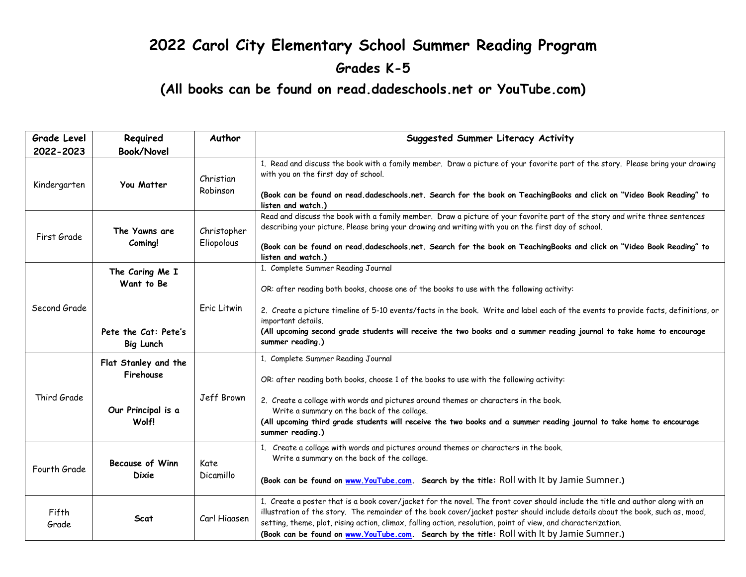## **2022 Carol City Elementary School Summer Reading Program Grades K-5**

**(All books can be found on read.dadeschools.net or YouTube.com)**

| <b>Book/Novel</b>                                                               |                           |                                                                                                                                                                                                                                                                                                                                                                                                                                                                                  |
|---------------------------------------------------------------------------------|---------------------------|----------------------------------------------------------------------------------------------------------------------------------------------------------------------------------------------------------------------------------------------------------------------------------------------------------------------------------------------------------------------------------------------------------------------------------------------------------------------------------|
|                                                                                 |                           |                                                                                                                                                                                                                                                                                                                                                                                                                                                                                  |
| You Matter<br>Kindergarten                                                      | Christian<br>Robinson     | 1. Read and discuss the book with a family member. Draw a picture of your favorite part of the story. Please bring your drawing<br>with you on the first day of school.                                                                                                                                                                                                                                                                                                          |
|                                                                                 |                           | (Book can be found on read.dadeschools.net. Search for the book on TeachingBooks and click on "Video Book Reading" to<br>listen and watch.)                                                                                                                                                                                                                                                                                                                                      |
| The Yawns are<br>First Grade<br>Coming!                                         | Christopher<br>Eliopolous | Read and discuss the book with a family member. Draw a picture of your favorite part of the story and write three sentences<br>describing your picture. Please bring your drawing and writing with you on the first day of school.                                                                                                                                                                                                                                               |
|                                                                                 |                           | (Book can be found on read.dadeschools.net. Search for the book on TeachingBooks and click on "Video Book Reading" to<br>listen and watch.)                                                                                                                                                                                                                                                                                                                                      |
| The Caring Me I<br>Want to Be<br>Second Grade<br>Eric Litwin                    |                           | 1. Complete Summer Reading Journal                                                                                                                                                                                                                                                                                                                                                                                                                                               |
|                                                                                 |                           | OR: after reading both books, choose one of the books to use with the following activity:                                                                                                                                                                                                                                                                                                                                                                                        |
|                                                                                 |                           | 2. Create a picture timeline of 5-10 events/facts in the book. Write and label each of the events to provide facts, definitions, or<br>important details.                                                                                                                                                                                                                                                                                                                        |
| Pete the Cat: Pete's<br>Big Lunch                                               |                           | (All upcoming second grade students will receive the two books and a summer reading journal to take home to encourage<br>summer reading.)                                                                                                                                                                                                                                                                                                                                        |
| Flat Stanley and the<br>Firehouse<br>Third Grade<br>Our Principal is a<br>Wolf! |                           | 1. Complete Summer Reading Journal                                                                                                                                                                                                                                                                                                                                                                                                                                               |
|                                                                                 |                           | OR: after reading both books, choose 1 of the books to use with the following activity:                                                                                                                                                                                                                                                                                                                                                                                          |
|                                                                                 | Jeff Brown                | 2. Create a collage with words and pictures around themes or characters in the book.<br>Write a summary on the back of the collage.                                                                                                                                                                                                                                                                                                                                              |
|                                                                                 |                           | (All upcoming third grade students will receive the two books and a summer reading journal to take home to encourage<br>summer reading.)                                                                                                                                                                                                                                                                                                                                         |
| <b>Because of Winn</b><br>Fourth Grade<br><b>Dixie</b>                          | Kate<br>Dicamillo         | Create a collage with words and pictures around themes or characters in the book.<br>Write a summary on the back of the collage.                                                                                                                                                                                                                                                                                                                                                 |
|                                                                                 |                           | (Book can be found on www.YouTube.com. Search by the title: Roll with It by Jamie Sumner.)                                                                                                                                                                                                                                                                                                                                                                                       |
| <b>Scat</b>                                                                     | Carl Hiaasen              | 1. Create a poster that is a book cover/jacket for the novel. The front cover should include the title and author along with an<br>illustration of the story. The remainder of the book cover/jacket poster should include details about the book, such as, mood,<br>setting, theme, plot, rising action, climax, falling action, resolution, point of view, and characterization.<br>(Book can be found on www.YouTube.com. Search by the title: Roll with It by Jamie Sumner.) |
|                                                                                 |                           |                                                                                                                                                                                                                                                                                                                                                                                                                                                                                  |